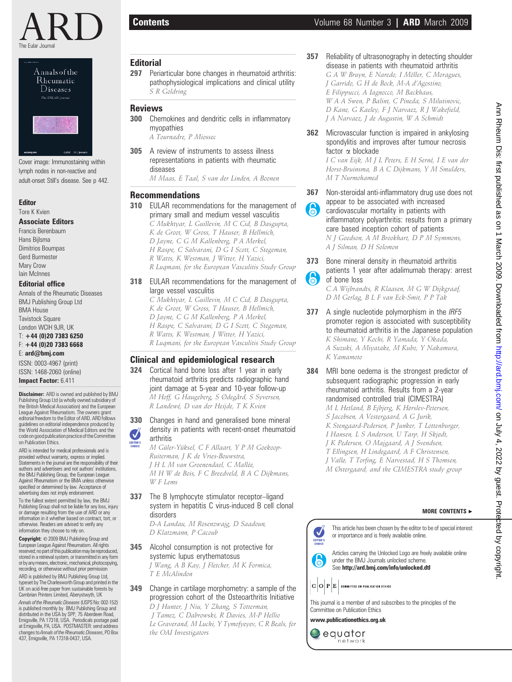



Cover image: Immunostaining within lymph nodes in non-reactive and adult-onset Still's disease. See p 442.

eular BKJ).

#### Editor Tore K Kvien

## Associate Editors

Francis Berenbaum Hans Bijlsma Dimitrios Boumpas Gerd Burmester Mary Crow Iain McInnes

#### Editorial office

Annals of the Rheumatic Diseases BMJ Publishing Group Ltd BMA House **Tavistock Square** London WCIH 9JR, UK

#### T: +44 (0)20 7383 6250 F: +44 (0)20 7383 6668

E: ard@bmj.com

ISSN: 0003-4967 (print) ISSN: 1468-2060 (online) Impact Factor: 6.411

Disclaimer: ARD is owned and published by BMJ Publishing Group Ltd (a wholly owned subsidiary of the British Medical Association) and the European League Against Rheumatism. The owners grant editorial freedom to the Editor of ARD. ARD follows guidelines on editorial independence produced by the World Association of Medical Editors and the code on good publication practice of the Committee on Publication Ethics.

ARD is intended for medical professionals and is provided without warranty, express or implied. Statements in the journal are the responsibility of their authors and advertisers and not authors' institutions, the BMJ Publishing Group, the European League Against Rheumatism or the BMA unless otherwise specified or determined by law. Acceptance of advertising does not imply endorsement.

To the fullest extent permitted by law, the BMJ Publishing Group shall not be liable for any loss, injury or damage resulting from the use of ARD or any information in it whether based on contract, tort, or otherwise. Readers are advised to verify any information they choose to rely on.

Copyright: © 2009 BMJ Publishing Group and European League Against Rheumatism. All rights reserved; no part of this publication may be reproduced,<br>stored in a retrieval system, or transmitted in any form or by any means, electronic, mechanical, photocopying, recording, or otherwise without prior permission ARD is published by BMJ Publishing Group Ltd, typeset by The Charlesworth Group and printed in the

UK on acid-free paper from sustainable forests by Cambrian Printers Limited, Aberystwyth, UK Annals of the Rheumatic Diseases(USPS No: 002-152) is published monthly by BMJ Publishing Group and

distributed in the USA by SPP, 75 Aberdeen Road, Emigsville, PA 17318, USA. Periodicals postage paid at Emigsville, PA, USA. POSTMASTER: send address<br>changes to *Annals of the Rheumatic Diseases*, PO Box 437, Emigsville, PA 17318-0437, USA.

## **Editorial**

297 Periarticular bone changes in rheumatoid arthritis: pathophysiological implications and clinical utility S R Goldring

#### Reviews

300 Chemokines and dendritic cells in inflammatory myopathies

A Tournadre, P Miossec

305 A review of instruments to assess illness representations in patients with rheumatic diseases

M Maas, E Taal, S van der Linden, A Boonen

## Recommendations

310 EULAR recommendations for the management of primary small and medium vessel vasculitis C Mukhtyar, L Guillevin, M C Cid, B Dasgupta,

K de Groot, W Gross, T Hauser, B Hellmich, D Jayne, C G M Kallenberg, P A Merkel, H Raspe, C Salvarani, D G I Scott, C Stegeman, R Watts, K Westman, J Witter, H Yazici, R Luqmani, for the European Vasculitis Study Group

#### 318 EULAR recommendations for the management of large vessel vasculitis

C Mukhtyar, L Guillevin, M C Cid, B Dasgupta, K de Groot, W Gross, T Hauser, B Hellmich, D Jayne, C G M Kallenberg, P A Merkel, H Raspe, C Salvarani, D G I Scott, C Stegeman, R Watts, K Westman, J Witter, H Yazici, R Luqmani, for the European Vasculitis Study Group

## Clinical and epidemiological research

324 Cortical hand bone loss after 1 year in early rheumatoid arthritis predicts radiographic hand joint damage at 5-year and 10-year follow-up M Hoff, G Haugeberg, S Ødegård, S Syversen, R Landewé, D van der Heijde, T K Kvien

330 Changes in hand and generalised bone mineral density in patients with recent-onset rheumatoid Ø arthritis

M Güler-Yüksel, C F Allaart, Y P M Goekoop-Ruiterman, J K de Vries-Bouwstra, J H L M van Groenendael, C Mallée, M H W de Bois, F C Breedveld, B A C Dijkmans,  $W$  F Lems

337 The B lymphocyte stimulator receptor-ligand system in hepatitis C virus-induced B cell clonal disorders

D-A Landau, M Rosenzwajg, D Saadoun, D Klatzmann, P Cacoub

345 Alcohol consumption is not protective for systemic lupus erythematosus J Wang, A B Kay, J Fletcher, M K Formica,

T E McAlindon

# 349 Change in cartilage morphometry: a sample of the progression cohort of the Osteoarthritis Initiative

D J Hunter, J Niu, Y Zhang, S Totterman, J Tamez, C Dabrowski, R Davies, M-P Hellio Le Graverand, M Luchi, Y Tymofyeyev, C R Beals, for the OAI Investigators

357 Reliability of ultrasonography in detecting shoulder disease in patients with rheumatoid arthritis G A W Bruyn, E Naredo, I Möller, C Moragues, J Garrido, G H de Bock, M-A d'Agostino,

E Filippucci, A Iagnocco, M Backhaus, W A A Swen, P Balint, C Pineda, S Milutinovic, D Kane, G Kaeley, F J Narvaez, R J Wakefield, J A Narvaez, J de Augustin, W A Schmidt

#### 362 Microvascular function is impaired in ankylosing spondylitis and improves after tumour necrosis factor  $\alpha$  blockade

I C van Eijk, M J L Peters, E H Serné, I E van der Horst-Bruinsma, B A C Dijkmans, Y M Smulders, M T Nurmohamed

- 367 Non-steroidal anti-inflammatory drug use does not appear to be associated with increased
- **A** cardiovascular mortality in patients with inflammatory polyarthritis: results from a primary care based inception cohort of patients N J Goodson, A M Brookhart, D P M Symmons, A J Silman, D H Solomon
- 373 Bone mineral density in rheumatoid arthritis patients 1 year after adalimumab therapy: arrest 6 of bone loss C A Wijbrandts, R Klaasen, M G W Dijkgraaf,

D M Gerlag, B L F van Eck-Smit, P P Tak

- 377 A single nucleotide polymorphism in the IRF5 promoter region is associated with susceptibility to rheumatoid arthritis in the Japanese population K Shimane, Y Kochi, R Yamada, Y Okada, A Suzuki, A Miyatake, M Kubo, Y Nakamura, K Yamamoto
- 384 MRI bone oedema is the strongest predictor of subsequent radiographic progression in early rheumatoid arthritis. Results from a 2-year randomised controlled trial (CIMESTRA) M L Hetland, B Ejbjerg, K Hørslev-Petersen, S Jacobsen, A Vestergaard, A G Jurik, K Stengaard-Pedersen, P Junker, T Lottenburger, I Hansen, L S Andersen, U Tarp, H Skjødt, J K Pedersen, O Majgaard, A J Svendsen, T Ellingsen, H Lindegaard, A F Christensen, J Vallø, T Torfing, E Narvestad, H S Thomsen, M Østergaard, and the CIMESTRA study group

# MORE CONTENTS  $\blacktriangleright$

This article has been chosen by the editor to be of special interest or importance and is freely available online.

Articles carrying the Unlocked Logo are freely available online under the BMJ Journals unlocked scheme. See http://ard.bmj.com/info/unlocked.dtl

 $\mathbf{C} \, \big| \mathbf{O} \big| \, \mathbf{P} \big| \mathbf{E} \big|$  committee on publication ethics



www.publicationethics.org.uk

equator network Ann Rheum Dis: first published Ann Rheum Dis: first published as on 1 March 2009. Downloaded from <http://ard.bmj.com/> on July 4, 2022 by guest. Protected by copyright. as on 1 March 2009. Downloaded from http://ard.bmj.com/ on July 4, 2022 by guest. Protected by copyright